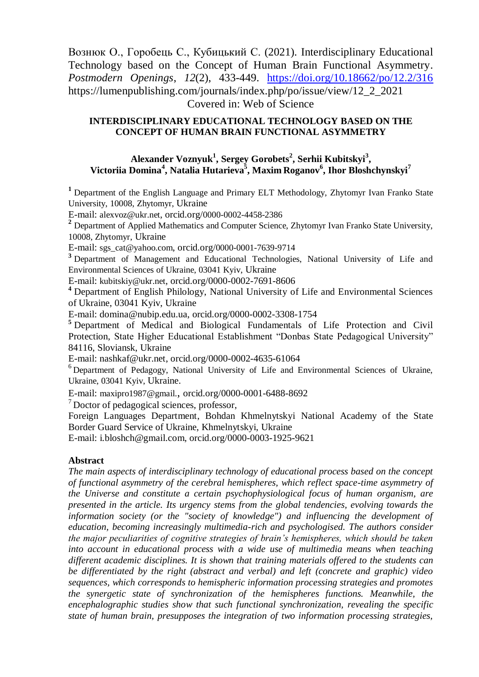Вознюк О., Горобець С., Кубицький С. (2021). Interdisciplinary Educational Technology based on the Concept of Human Brain Functional Asymmetry. *Postmodern Openings*, *12*(2), 433-449. <https://doi.org/10.18662/po/12.2/316> https://lumenpublishing.com/journals/index.php/po/issue/view/12\_2\_2021 Covered in: Web of Science

# **INTERDISCIPLINARY EDUCATIONAL TECHNOLOGY BASED ON THE CONCEPT OF HUMAN BRAIN FUNCTIONAL ASYMMETRY**

# **Alexander Voznyuk<sup>1</sup> , Sergey Gorobets<sup>2</sup> , Serhii Kubitskyi<sup>3</sup> , Victoriia Domina<sup>4</sup> , Natalia Hutarieva<sup>5</sup> , Maxim Roganov<sup>6</sup> , Ihor Bloshchynskyi<sup>7</sup>**

**<sup>1</sup>** Department of the English Language and Primary ELT Methodology, Zhytomyr Ivan Franko State University, 10008, Zhytomyr, Ukraine

E-mail: [alexvoz@ukr.net](mailto:alexvoz@ukr.net), orcid.org/0000-0002-4458-2386

<sup>2</sup> Department of Applied Mathematics and Computer Science, Zhytomyr Ivan Franko State University, 10008, Zhytomyr, Ukraine

E-mail: sgs\_cat@yahoo.com, orcid.org/0000-0001-7639-9714

**<sup>3</sup>** Department of Management and Educational Technologies, National University of Life and Environmental Sciences of Ukraine, 03041 Kyiv, Ukraine

E-mail: [kubitskiy@ukr.net](mailto:kubitskiy@ukr.net), orcid.org/0000-0002-7691-8606

**<sup>4</sup>** Department of English Philology, National University of Life and Environmental Sciences of Ukraine, 03041 Kyiv, Ukraine

E-mail: [domina@nubip.edu.ua,](mailto:domina@nubip.edu.ua) orcid.org/0000-0002-3308-1754

**<sup>5</sup>** Department of Medical and Biological Fundamentals of Life Protection and Civil Protection, State Higher Educational Establishment "Donbas State Pedagogical University" 84116, Sloviansk, Ukraine

E-mail: [nashkaf@ukr.net,](mailto:nashkaf@ukr.net) orcid.org/0000-0002-4635-61064

<sup>6</sup> Department of Pedagogy, National University of Life and Environmental Sciences of Ukraine, Ukraine, 03041 Kyiv, Ukraine.

E-mail: [maxipro1987@gmail.](mailto:maxipro1987@gmail.com), orcid.org/0000-0001-6488-8692

 $<sup>7</sup>$  Doctor of pedagogical sciences, professor,</sup>

Foreign Languages Department, Bohdan Khmelnytskyi National Academy of the State Border Guard Service of Ukraine, Khmelnytskyi, Ukraine

E-mail: i.bloshch@gmail.com, orcid.org/0000-0003-1925-9621

## **Abstract**

*The main aspects of interdisciplinary technology of educational process based on the concept of functional asymmetry of the cerebral hemispheres, which reflect space-time asymmetry of the Universe and constitute a certain psychophysiological focus of human organism, are presented in the article. Its urgency stems from the global tendencies, evolving towards the information society (or the "society of knowledge") and influencing the development of education, becoming increasingly multimedia-rich and psychologised. The authors consider the major peculiarities of cognitive strategies of brain's hemispheres, which should be taken into account in educational process with a wide use of multimedia means when teaching different academic disciplines. It is shown that training materials offered to the students can be differentiated by the right (abstract and verbal) and left (concrete and graphic) video sequences, which corresponds to hemispheric information processing strategies and promotes the synergetic state of synchronization of the hemispheres functions. Meanwhile, the encephalographic studies show that such functional synchronization, revealing the specific state of human brain, presupposes the integration of two information processing strategies,*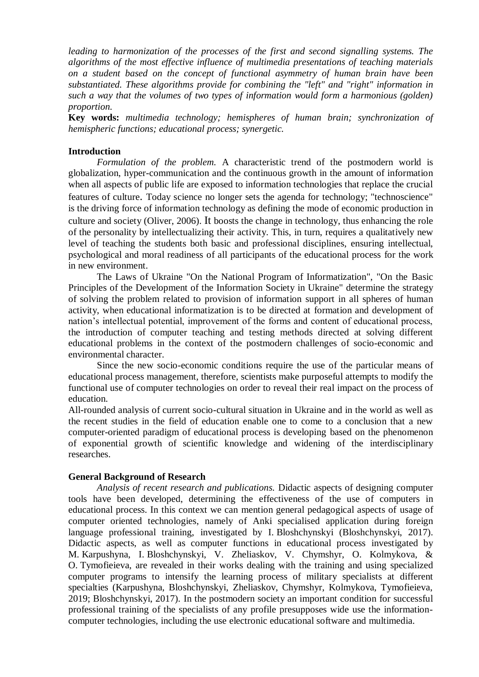*leading to harmonization of the processes of the first and second signalling systems. The algorithms of the most effective influence of multimedia presentations of teaching materials on a student based on the concept of functional asymmetry of human brain have been substantiated. These algorithms provide for combining the "left" and "right" information in such a way that the volumes of two types of information would form a harmonious (golden) proportion.*

**Key words:** *multimedia technology; hemispheres of human brain; synchronization of hemispheric functions; educational process; synergetic.*

## **Introduction**

*Formulation of the problem.* A characteristic trend of the postmodern world is globalization, hyper-communication and the continuous growth in the amount of information when all aspects of public life are exposed to information technologies that replace the crucial features of culture. Today science no longer sets the agenda for technology; "technoscience" is the driving force of information technology as defining the mode of economic production in culture and society (Oliver, 2006). It boosts the change in technology, thus enhancing the role of the personality by intellectualizing their activity. This, in turn, requires a qualitatively new level of teaching the students both basic and professional disciplines, ensuring intellectual, psychological and moral readiness of all participants of the educational process for the work in new environment.

The Laws of Ukraine "On the National Program of Informatization", "On the Basic Principles of the Development of the Information Society in Ukraine" determine the strategy of solving the problem related to provision of information support in all spheres of human activity, when educational informatization is to be directed at formation and development of nation's intellectual potential, improvement of the forms and content of educational process, the introduction of computer teaching and testing methods directed at solving different educational problems in the context of the postmodern challenges of socio-economic and environmental character.

Since the new socio-economic conditions require the use of the particular means of educational process management, therefore, scientists make purposeful attempts to modify the functional use of computer technologies on order to reveal their real impact on the process of education.

All-rounded analysis of current socio-cultural situation in Ukraine and in the world as well as the recent studies in the field of education enable one to come to a conclusion that a new computer-oriented paradigm of educational process is developing based on the phenomenon of exponential growth of scientific knowledge and widening of the interdisciplinary researches.

### **General Background of Research**

*Analysis of recent research and publications.* Didactic aspects of designing computer tools have been developed, determining the effectiveness of the use of computers in educational process. In this context we can mention general pedagogical aspects of usage of computer oriented technologies, namely of Anki specialised application during foreign language professional training, investigated by I. Bloshchynskyi (Bloshchynskyi, 2017). Didactic aspects, as well as computer functions in educational process investigated by M. Karpushyna, I. Bloshchynskyi, V. Zheliaskov, V. Chymshyr, O. Kolmykova, & O. Tymofieieva, are revealed in their works dealing with the training and using specialized computer programs to intensify the learning process of military specialists at different specialties (Karpushyna, Bloshchynskyi, Zheliaskov, Chymshyr, Kolmykova, Tymofieieva, 2019; Bloshchynskyi, 2017). In the postmodern society an important condition for successful professional training of the specialists of any profile presupposes wide use the informationcomputer technologies, including the use electronic educational software and multimedia.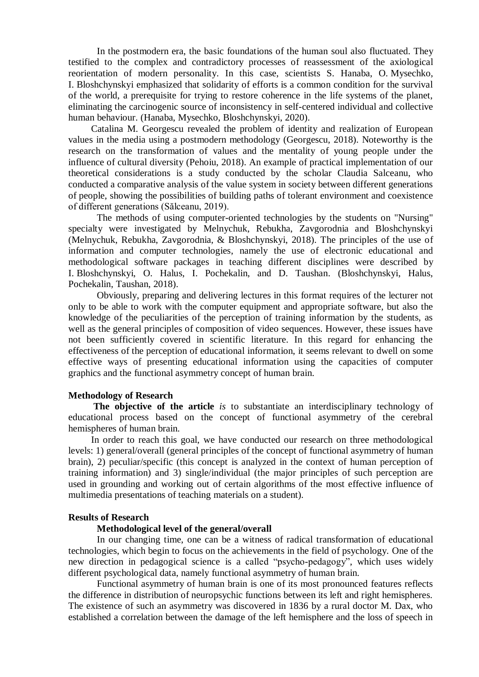In the postmodern era, the basic foundations of the human soul also fluctuated. They testified to the complex and contradictory processes of reassessment of the axiological reorientation of modern personality. In this case, scientists S. Hanaba, O. Mysechko, I. Bloshchynskyi emphasized that solidarity of efforts is a common condition for the survival of the world, a prerequisite for trying to restore coherence in the life systems of the planet, eliminating the carcinogenic source of inconsistency in self-centered individual and collective human behaviour. (Hanaba, Mysechko, Bloshchynskyi, 2020).

Catalina M. Georgescu revealed the problem of identity and realization of European values in the media using a postmodern methodology (Georgescu, 2018). Noteworthy is the research on the transformation of values and the mentality of young people under the influence of cultural diversity (Pehoiu, 2018). An example of practical implementation of our theoretical considerations is a study conducted by the scholar Claudia Salceanu, who conducted a comparative analysis of the value system in society between different generations of people, showing the possibilities of building paths of tolerant environment and coexistence of different generations (Sălceanu, 2019).

The methods of using computer-oriented technologies by the students on "Nursing" specialty were investigated by Melnychuk, Rebukha, Zavgorodnia and Bloshchynskyi (Melnychuk, Rebukha, Zavgorodnia, & Bloshchynskyi, 2018). The principles of the use of information and computer technologies, namely the use of electronic educational and methodological software packages in teaching different disciplines were described by I. Bloshchynskyi, O. Halus, I. Pochekalin, and D. Taushan. (Bloshchynskyi, Halus, Pochekalin, Taushan, 2018).

Obviously, preparing and delivering lectures in this format requires of the lecturer not only to be able to work with the computer equipment and appropriate software, but also the knowledge of the peculiarities of the perception of training information by the students, as well as the general principles of composition of video sequences. However, these issues have not been sufficiently covered in scientific literature. In this regard for enhancing the effectiveness of the perception of educational information, it seems relevant to dwell on some effective ways of presenting educational information using the capacities of computer graphics and the functional asymmetry concept of human brain.

### **Methodology of Research**

**The objective of the article** *is* to substantiate an interdisciplinary technology of educational process based on the concept of functional asymmetry of the cerebral hemispheres of human brain.

In order to reach this goal, we have conducted our research on three methodological levels: 1) general/overall (general principles of the concept of functional asymmetry of human brain), 2) peculiar/specific (this concept is analyzed in the context of human perception of training information) and 3) single/individual (the major principles of such perception are used in grounding and working out of certain algorithms of the most effective influence of multimedia presentations of teaching materials on a student).

### **Results of Research**

### **Methodological level of the general/overall**

In our changing time, one can be a witness of radical transformation of educational technologies, which begin to focus on the achievements in the field of psychology. One of the new direction in pedagogical science is a called "psycho-pedagogy", which uses widely different psychological data, namely functional asymmetry of human brain.

Functional asymmetry of human brain is one of its most pronounced features reflects the difference in distribution of neuropsychic functions between its left and right hemispheres. The existence of such an asymmetry was discovered in 1836 by a rural doctor M. Dax, who established a correlation between the damage of the left hemisphere and the loss of speech in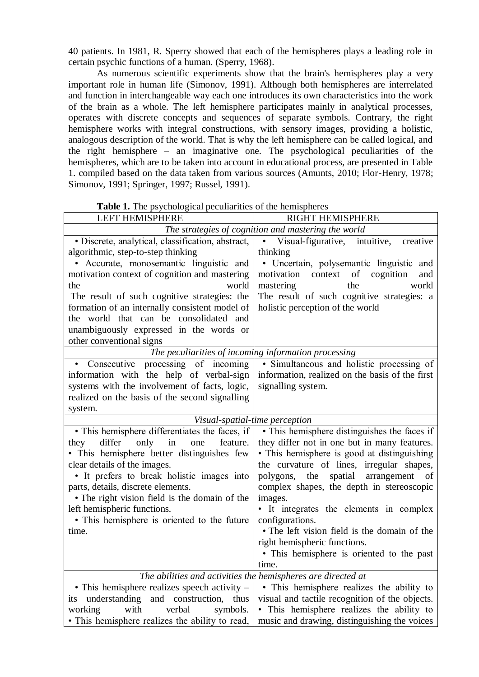40 patients. In 1981, R. Sperry showed that each of the hemispheres plays a leading role in certain psychic functions of a human. (Sperry, 1968).

As numerous scientific experiments show that the brain's hemispheres play a very important role in human life (Simonov, 1991). Although both hemispheres are interrelated and function in interchangeable way each one introduces its own characteristics into the work of the brain as a whole. The left hemisphere participates mainly in analytical processes, operates with discrete concepts and sequences of separate symbols. Contrary, the right hemisphere works with integral constructions, with sensory images, providing a holistic, analogous description of the world. That is why the left hemisphere can be called logical, and the right hemisphere – an imaginative one. The psychological peculiarities of the hemispheres, which are to be taken into account in educational process, are presented in Table 1. compiled based on the data taken from various sources (Amunts, 2010; Flor-Henry, 1978; Simonov, 1991; Springer, 1997; Russel, 1991).

| and pay enougher pecuniamed                                  |                                                        |
|--------------------------------------------------------------|--------------------------------------------------------|
| <b>LEFT HEMISPHERE</b>                                       | RIGHT HEMISPHERE                                       |
| The strategies of cognition and mastering the world          |                                                        |
| · Discrete, analytical, classification, abstract,            | Visual-figurative, intuitive,<br>$\bullet$<br>creative |
| algorithmic, step-to-step thinking                           | thinking                                               |
| • Accurate, monosemantic linguistic and                      | • Uncertain, polysemantic linguistic and               |
| motivation context of cognition and mastering                | motivation context of cognition<br>and                 |
| the<br>world                                                 | mastering<br>world<br>the                              |
| The result of such cognitive strategies: the                 | The result of such cognitive strategies: a             |
| formation of an internally consistent model of               | holistic perception of the world                       |
| the world that can be consolidated and                       |                                                        |
| unambiguously expressed in the words or                      |                                                        |
| other conventional signs                                     |                                                        |
| The peculiarities of incoming information processing         |                                                        |
| Consecutive processing of incoming<br>$\bullet$              | • Simultaneous and holistic processing of              |
| information with the help of verbal-sign                     | information, realized on the basis of the first        |
| systems with the involvement of facts, logic,                | signalling system.                                     |
| realized on the basis of the second signalling               |                                                        |
| system.                                                      |                                                        |
| Visual-spatial-time perception                               |                                                        |
| • This hemisphere differentiates the faces, if               | · This hemisphere distinguishes the faces if           |
| differ<br>only<br>in<br>feature.<br>they<br>one              | they differ not in one but in many features.           |
| • This hemisphere better distinguishes few                   | • This hemisphere is good at distinguishing            |
| clear details of the images.                                 | the curvature of lines, irregular shapes,              |
| • It prefers to break holistic images into                   | the<br>spatial arrangement<br>polygons,<br>of          |
| parts, details, discrete elements.                           | complex shapes, the depth in stereoscopic              |
| • The right vision field is the domain of the                | images.                                                |
| left hemispheric functions.                                  | • It integrates the elements in complex                |
| • This hemisphere is oriented to the future                  | configurations.                                        |
| time.                                                        | • The left vision field is the domain of the           |
|                                                              | right hemispheric functions.                           |
|                                                              | • This hemisphere is oriented to the past              |
|                                                              | time.                                                  |
| The abilities and activities the hemispheres are directed at |                                                        |
| • This hemisphere realizes speech activity $-$               | • This hemisphere realizes the ability to              |
| its understanding and construction,<br>thus                  | visual and tactile recognition of the objects.         |
| with<br>verbal<br>working<br>symbols.                        | · This hemisphere realizes the ability to              |
| • This hemisphere realizes the ability to read,              | music and drawing, distinguishing the voices           |

**Table 1.** The psychological peculiarities of the hemispheres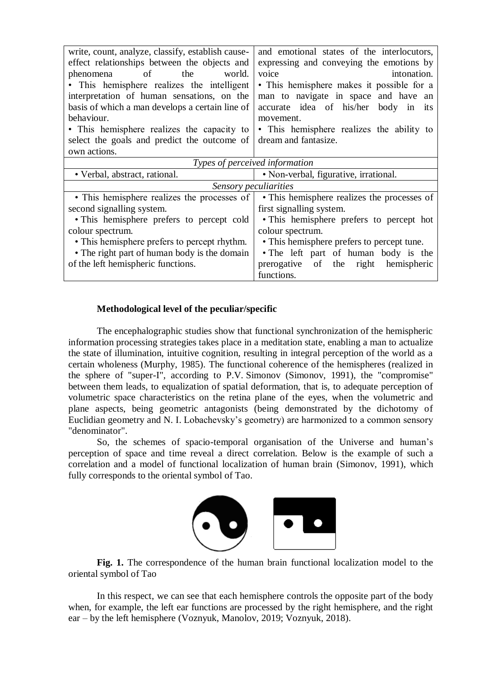| write, count, analyze, classify, establish cause- | and emotional states of the interlocutors,       |
|---------------------------------------------------|--------------------------------------------------|
| effect relationships between the objects and      | expressing and conveying the emotions by         |
| of<br>the<br>world.<br>phenomena                  | voice<br>intonation.                             |
| • This hemisphere realizes the intelligent        | • This hemisphere makes it possible for a        |
| interpretation of human sensations, on the        | man to navigate in space and have an             |
| basis of which a man develops a certain line of   | accurate idea of his/her<br>body<br>in<br>- 1t S |
| behaviour.                                        | movement.                                        |
| • This hemisphere realizes the capacity to        | • This hemisphere realizes the ability to        |
| select the goals and predict the outcome of       | dream and fantasize.                             |
| own actions.                                      |                                                  |
| Types of perceived information                    |                                                  |
| • Verbal, abstract, rational.                     | • Non-verbal, figurative, irrational.            |
| Sensory peculiarities                             |                                                  |
| • This hemisphere realizes the processes of       | • This hemisphere realizes the processes of      |
| second signalling system.                         | first signalling system.                         |
| • This hemisphere prefers to percept cold         | • This hemisphere prefers to percept hot         |
| colour spectrum.                                  | colour spectrum.                                 |
| • This hemisphere prefers to percept rhythm.      | • This hemisphere prefers to percept tune.       |
| • The right part of human body is the domain      | • The left part of human body is the             |
| of the left hemispheric functions.                | prerogative<br>of<br>the right<br>hemispheric    |
|                                                   | functions.                                       |

## **Methodological level of the peculiar/specific**

The encephalographic studies show that functional synchronization of the hemispheric information processing strategies takes place in a meditation state, enabling a man to actualize the state of illumination, intuitive cognition, resulting in integral perception of the world as a certain wholeness (Murphy, 1985). The functional coherence of the hemispheres (realized in the sphere of "super-I", according to P.V. Simonov (Simonov, 1991), the "compromise" between them leads, to equalization of spatial deformation, that is, to adequate perception of volumetric space characteristics on the retina plane of the eyes, when the volumetric and plane aspects, being geometric antagonists (being demonstrated by the dichotomy of Euclidian geometry and N. I. Lobachevsky's geometry) are harmonized to a common sensory "denominator".

So, the schemes of spacio-temporal organisation of the Universe and human's perception of space and time reveal a direct correlation. Below is the example of such a correlation and a model of functional localization of human brain (Simonov, 1991), which fully corresponds to the oriental symbol of Tao.



**Fig. 1.** The correspondence of the human brain functional localization model to the oriental symbol of Tao

In this respect, we can see that each hemisphere controls the opposite part of the body when, for example, the left ear functions are processed by the right hemisphere, and the right ear – by the left hemisphere (Voznyuk, Manolov, 2019; Voznyuk, 2018).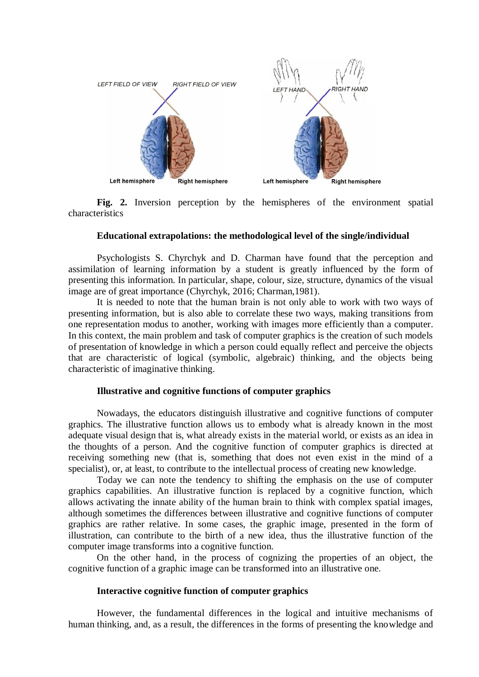

**Fig. 2.** Inversion perception by the hemispheres of the environment spatial characteristics

## **Educational extrapolations: the methodological level of the single/individual**

Psychologists S. Chyrchyk and D. Charman have found that the perception and assimilation of learning information by a student is greatly influenced by the form of presenting this information. In particular, shape, colour, size, structure, dynamics of the visual image are of great importance (Chyrchyk, 2016; Charman,1981).

It is needed to note that the human brain is not only able to work with two ways of presenting information, but is also able to correlate these two ways, making transitions from one representation modus to another, working with images more efficiently than a computer. In this context, the main problem and task of computer graphics is the creation of such models of presentation of knowledge in which a person could equally reflect and perceive the objects that are characteristic of logical (symbolic, algebraic) thinking, and the objects being characteristic of imaginative thinking.

## **Illustrative and cognitive functions of computer graphics**

Nowadays, the educators distinguish illustrative and cognitive functions of computer graphics. The illustrative function allows us to embody what is already known in the most adequate visual design that is, what already exists in the material world, or exists as an idea in the thoughts of a person. And the cognitive function of computer graphics is directed at receiving something new (that is, something that does not even exist in the mind of a specialist), or, at least, to contribute to the intellectual process of creating new knowledge.

Today we can note the tendency to shifting the emphasis on the use of computer graphics capabilities. An illustrative function is replaced by a cognitive function, which allows activating the innate ability of the human brain to think with complex spatial images, although sometimes the differences between illustrative and cognitive functions of computer graphics are rather relative. In some cases, the graphic image, presented in the form of illustration, can contribute to the birth of a new idea, thus the illustrative function of the computer image transforms into a cognitive function.

On the other hand, in the process of cognizing the properties of an object, the cognitive function of a graphic image can be transformed into an illustrative one.

#### **Interactive cognitive function of computer graphics**

However, the fundamental differences in the logical and intuitive mechanisms of human thinking, and, as a result, the differences in the forms of presenting the knowledge and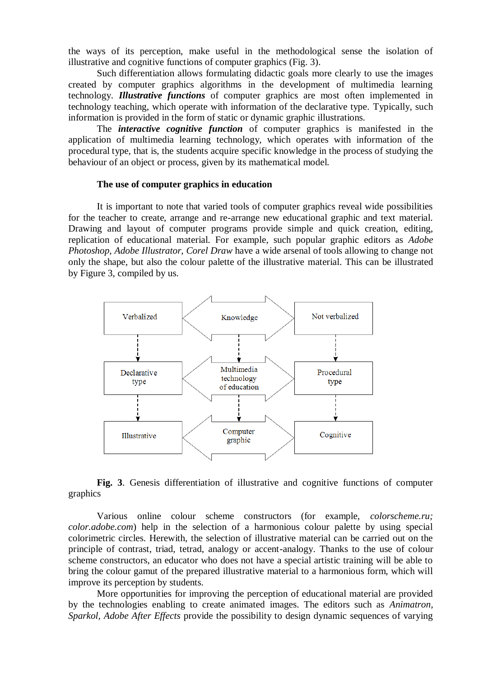the ways of its perception, make useful in the methodological sense the isolation of illustrative and cognitive functions of computer graphics (Fig. 3).

Such differentiation allows formulating didactic goals more clearly to use the images created by computer graphics algorithms in the development of multimedia learning technology. *Illustrative functions* of computer graphics are most often implemented in technology teaching, which operate with information of the declarative type. Typically, such information is provided in the form of static or dynamic graphic illustrations.

The *interactive cognitive function* of computer graphics is manifested in the application of multimedia learning technology, which operates with information of the procedural type, that is, the students acquire specific knowledge in the process of studying the behaviour of an object or process, given by its mathematical model.

### **The use of computer graphics in education**

It is important to note that varied tools of computer graphics reveal wide possibilities for the teacher to create, arrange and re-arrange new educational graphic and text material. Drawing and layout of computer programs provide simple and quick creation, editing, replication of educational material. For example, such popular graphic editors as *Adobe Photoshop, Adobe Illustrator, Corel Draw* have a wide arsenal of tools allowing to change not only the shape, but also the colour palette of the illustrative material. This can be illustrated by Figure 3, compiled by us.



**Fig. 3**. Genesis differentiation of illustrative and cognitive functions of computer graphics

Various online colour scheme constructors (for example, *colorscheme.ru; color.adobe.com*) help in the selection of a harmonious colour palette by using special colorimetric circles. Herewith, the selection of illustrative material can be carried out on the principle of contrast, triad, tetrad, analogy or accent-analogy. Thanks to the use of colour scheme constructors, an educator who does not have a special artistic training will be able to bring the colour gamut of the prepared illustrative material to a harmonious form, which will improve its perception by students.

More opportunities for improving the perception of educational material are provided by the technologies enabling to create animated images. The editors such as *Animatron, Sparkol, Adobe After Effects* provide the possibility to design dynamic sequences of varying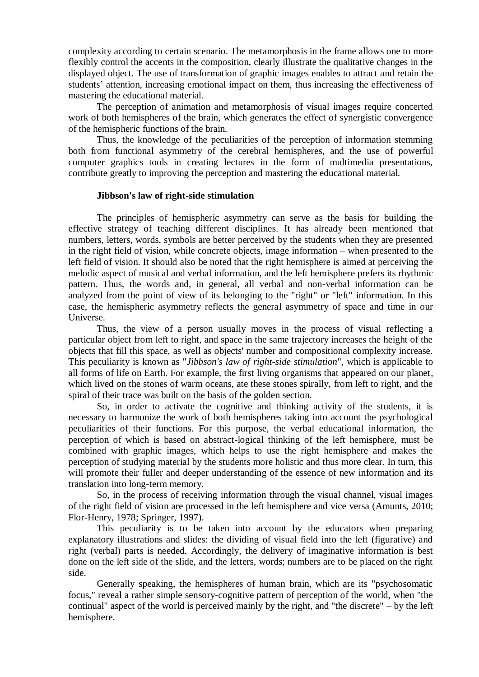complexity according to certain scenario. The metamorphosis in the frame allows one to more flexibly control the accents in the composition, clearly illustrate the qualitative changes in the displayed object. The use of transformation of graphic images enables to attract and retain the students' attention, increasing emotional impact on them, thus increasing the effectiveness of mastering the educational material.

The perception of animation and metamorphosis of visual images require concerted work of both hemispheres of the brain, which generates the effect of synergistic convergence of the hemispheric functions of the brain.

Thus, the knowledge of the peculiarities of the perception of information stemming both from functional asymmetry of the cerebral hemispheres, and the use of powerful computer graphics tools in creating lectures in the form of multimedia presentations, contribute greatly to improving the perception and mastering the educational material.

### **Jibbson's law of right-side stimulation**

The principles of hemispheric asymmetry can serve as the basis for building the effective strategy of teaching different disciplines. It has already been mentioned that numbers, letters, words, symbols are better perceived by the students when they are presented in the right field of vision, while concrete objects, image information – when presented to the left field of vision. It should also be noted that the right hemisphere is aimed at perceiving the melodic aspect of musical and verbal information, and the left hemisphere prefers its rhythmic pattern. Thus, the words and, in general, all verbal and non-verbal information can be analyzed from the point of view of its belonging to the "right" or "left" information. In this case, the hemispheric asymmetry reflects the general asymmetry of space and time in our Universe.

Thus, the view of a person usually moves in the process of visual reflecting a particular object from left to right, and space in the same trajectory increases the height of the objects that fill this space, as well as objects' number and compositional complexity increase. This peculiarity is known as "*Jibbson's law of right-side stimulation*", which is applicable to all forms of life on Earth. For example, the first living organisms that appeared on our planet, which lived on the stones of warm oceans, ate these stones spirally, from left to right, and the spiral of their trace was built on the basis of the golden section.

So, in order to activate the cognitive and thinking activity of the students, it is necessary to harmonize the work of both hemispheres taking into account the psychological peculiarities of their functions. For this purpose, the verbal educational information, the perception of which is based on abstract-logical thinking of the left hemisphere, must be combined with graphic images, which helps to use the right hemisphere and makes the perception of studying material by the students more holistic and thus more clear. In turn, this will promote their fuller and deeper understanding of the essence of new information and its translation into long-term memory.

So, in the process of receiving information through the visual channel, visual images of the right field of vision are processed in the left hemisphere and vice versa (Amunts, 2010; Flor-Henry, 1978; Springer, 1997).

This peculiarity is to be taken into account by the educators when preparing explanatory illustrations and slides: the dividing of visual field into the left (figurative) and right (verbal) parts is needed. Accordingly, the delivery of imaginative information is best done on the left side of the slide, and the letters, words; numbers are to be placed on the right side.

Generally speaking, the hemispheres of human brain, which are its "psychosomatic focus," reveal a rather simple sensory-cognitive pattern of perception of the world, when "the continual" aspect of the world is perceived mainly by the right, and "the discrete" – by the left hemisphere.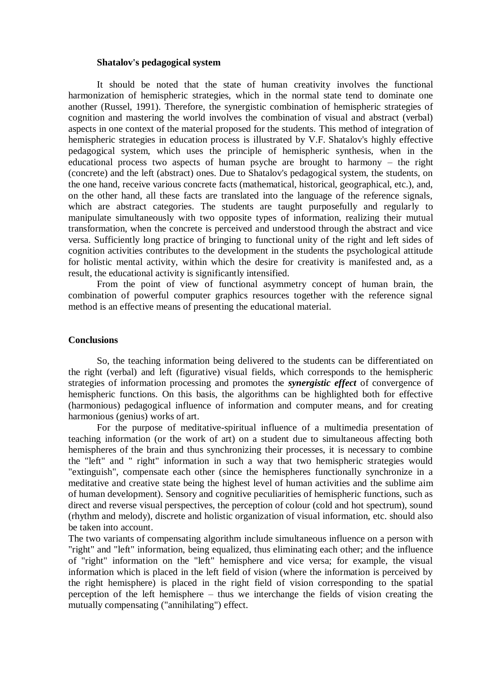### **Shatalov's pedagogical system**

It should be noted that the state of human creativity involves the functional harmonization of hemispheric strategies, which in the normal state tend to dominate one another (Russel, 1991). Therefore, the synergistic combination of hemispheric strategies of cognition and mastering the world involves the combination of visual and abstract (verbal) aspects in one context of the material proposed for the students. This method of integration of hemispheric strategies in education process is illustrated by V.F. Shatalov's highly effective pedagogical system, which uses the principle of hemispheric synthesis, when in the educational process two aspects of human psyche are brought to harmony – the right (concrete) and the left (abstract) ones. Due to Shatalov's pedagogical system, the students, on the one hand, receive various concrete facts (mathematical, historical, geographical, etc.), and, on the other hand, all these facts are translated into the language of the reference signals, which are abstract categories. The students are taught purposefully and regularly to manipulate simultaneously with two opposite types of information, realizing their mutual transformation, when the concrete is perceived and understood through the abstract and vice versa. Sufficiently long practice of bringing to functional unity of the right and left sides of cognition activities contributes to the development in the students the psychological attitude for holistic mental activity, within which the desire for creativity is manifested and, as a result, the educational activity is significantly intensified.

From the point of view of functional asymmetry concept of human brain, the combination of powerful computer graphics resources together with the reference signal method is an effective means of presenting the educational material.

## **Conclusions**

So, the teaching information being delivered to the students can be differentiated on the right (verbal) and left (figurative) visual fields, which corresponds to the hemispheric strategies of information processing and promotes the *synergistic effect* of convergence of hemispheric functions. On this basis, the algorithms can be highlighted both for effective (harmonious) pedagogical influence of information and computer means, and for creating harmonious (genius) works of art.

For the purpose of meditative-spiritual influence of a multimedia presentation of teaching information (or the work of art) on a student due to simultaneous affecting both hemispheres of the brain and thus synchronizing their processes, it is necessary to combine the "left" and " right" information in such a way that two hemispheric strategies would "extinguish", compensate each other (since the hemispheres functionally synchronize in a meditative and creative state being the highest level of human activities and the sublime aim of human development). Sensory and cognitive peculiarities of hemispheric functions, such as direct and reverse visual perspectives, the perception of colour (cold and hot spectrum), sound (rhythm and melody), discrete and holistic organization of visual information, etc. should also be taken into account.

The two variants of compensating algorithm include simultaneous influence on a person with "right" and "left" information, being equalized, thus eliminating each other; and the influence of "right" information on the "left" hemisphere and vice versa; for example, the visual information which is placed in the left field of vision (where the information is perceived by the right hemisphere) is placed in the right field of vision corresponding to the spatial perception of the left hemisphere – thus we interchange the fields of vision creating the mutually compensating ("annihilating") effect.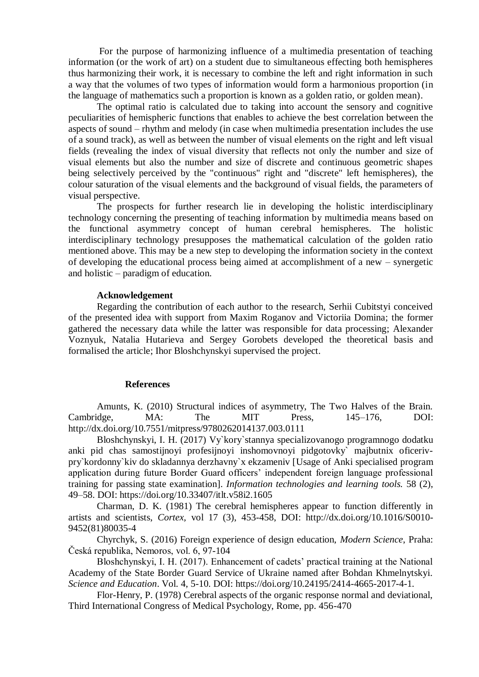For the purpose of harmonizing influence of a multimedia presentation of teaching information (or the work of art) on a student due to simultaneous effecting both hemispheres thus harmonizing their work, it is necessary to combine the left and right information in such a way that the volumes of two types of information would form a harmonious proportion (in the language of mathematics such a proportion is known as a golden ratio, or golden mean).

The optimal ratio is calculated due to taking into account the sensory and cognitive peculiarities of hemispheric functions that enables to achieve the best correlation between the aspects of sound – rhythm and melody (in case when multimedia presentation includes the use of a sound track), as well as between the number of visual elements on the right and left visual fields (revealing the index of visual diversity that reflects not only the number and size of visual elements but also the number and size of discrete and continuous geometric shapes being selectively perceived by the "continuous" right and "discrete" left hemispheres), the colour saturation of the visual elements and the background of visual fields, the parameters of visual perspective.

The prospects for further research lie in developing the holistic interdisciplinary technology concerning the presenting of teaching information by multimedia means based on the functional asymmetry concept of human cerebral hemispheres. The holistic interdisciplinary technology presupposes the mathematical calculation of the golden ratio mentioned above. This may be a new step to developing the information society in the context of developing the educational process being aimed at accomplishment of a new – synergetic and holistic – paradigm of education.

### **Acknowledgement**

Regarding the contribution of each author to the research, Serhii Cubitstyi conceived of the presented idea with support from Maxim Roganov and Victoriia Domina; the former gathered the necessary data while the latter was responsible for data processing; Alexander Voznyuk, Natalia Hutarieva and Sergey Gorobets developed the theoretical basis and formalised the article; Ihor Bloshchynskyi supervised the project.

### **References**

Amunts, K. (2010) Structural indices of asymmetry, The Two Halves of the Brain. Cambridge, MA: The MIT Press, 145–176, DOI: http://dx.doi.org/10.7551/mitpress/9780262014137.003.0111

Bloshchynskyi, I. H. (2017) Vy`kory`stannya specializovanogo programnogo dodatku anki pid chas samostijnoyi profesijnoyi inshomovnoyi pidgotovky` majbutnix oficerivpry`kordonny`kiv do skladannya derzhavny`x ekzameniv [Usage of Anki specialised program application during future Border Guard officers' independent foreign language professional training for passing state examination]. *Information technologies and learning tools.* 58 (2), 49–58. DOI: https://doi.org/10.33407/itlt.v58i2.1605

Charman, D. K. (1981) The cerebral hemispheres appear to function differently in artists and scientists, *Cortex,* vol 17 (3), 453-458, DOI: http://dx.doi.org/10.1016/S0010- 9452(81)80035-4

Chyrchyk, S. (2016) Foreign experience of design education, *Modern Science*, Praha: Česká republika, Nemoros, vol. 6, 97-104

Bloshchynskyi, I. H. (2017). Enhancement of cadets' practical training at the National Academy of the State Border Guard Service of Ukraine named after Bohdan Khmelnytskyi. *Science and Education*. Vol. 4, 5-10. DOI: https://doi.org/10.24195/2414-4665-2017-4-1.

Flor-Henry, P. (1978) Cerebral aspects of the organic response normal and deviational, Third International Congress of Medical Psychology, Rome, pp. 456-470